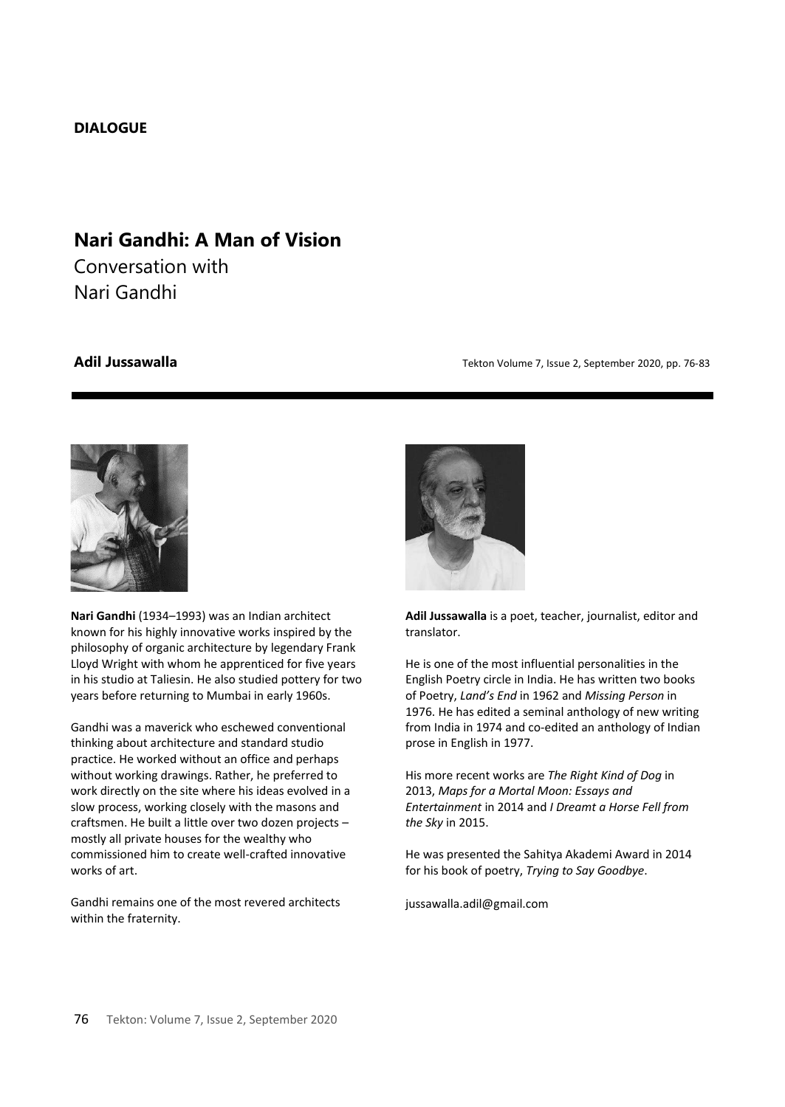## **DIALOGUE**

# **Nari Gandhi: A Man of Vision**

Conversation with Nari Gandhi

**Adil Jussawalla Adil Jussawalla** *Tekton Volume 7, Issue 2, September 2020, pp. 76-83* 



**Nari Gandhi** (1934–1993) was an Indian architect known for his highly innovative works inspired by the philosophy of organic architecture by legendary Frank Lloyd Wright with whom he apprenticed for five years in his studio at Taliesin. He also studied pottery for two years before returning to Mumbai in early 1960s.

Gandhi was a maverick who eschewed conventional thinking about architecture and standard studio practice. He worked without an office and perhaps without working drawings. Rather, he preferred to work directly on the site where his ideas evolved in a slow process, working closely with the masons and craftsmen. He built a little over two dozen projects – mostly all private houses for the wealthy who commissioned him to create well-crafted innovative works of art.

Gandhi remains one of the most revered architects within the fraternity.



**Adil Jussawalla** is a poet, teacher, journalist, editor and translator.

He is one of the most influential personalities in the English Poetry circle in India. He has written two books of Poetry, *Land's End* in 1962 and *Missing Person* in 1976. He has edited a seminal anthology of new writing from India in 1974 and co-edited an anthology of Indian prose in English in 1977.

His more recent works are *The Right Kind of Dog* in 2013, *Maps for a Mortal Moon: Essays and Entertainment* in 2014 and *I Dreamt a Horse Fell from the Sky* in 2015.

He was presented the Sahitya Akademi Award in 2014 for his book of poetry, *Trying to Say Goodbye*.

jussawalla.adil@gmail.com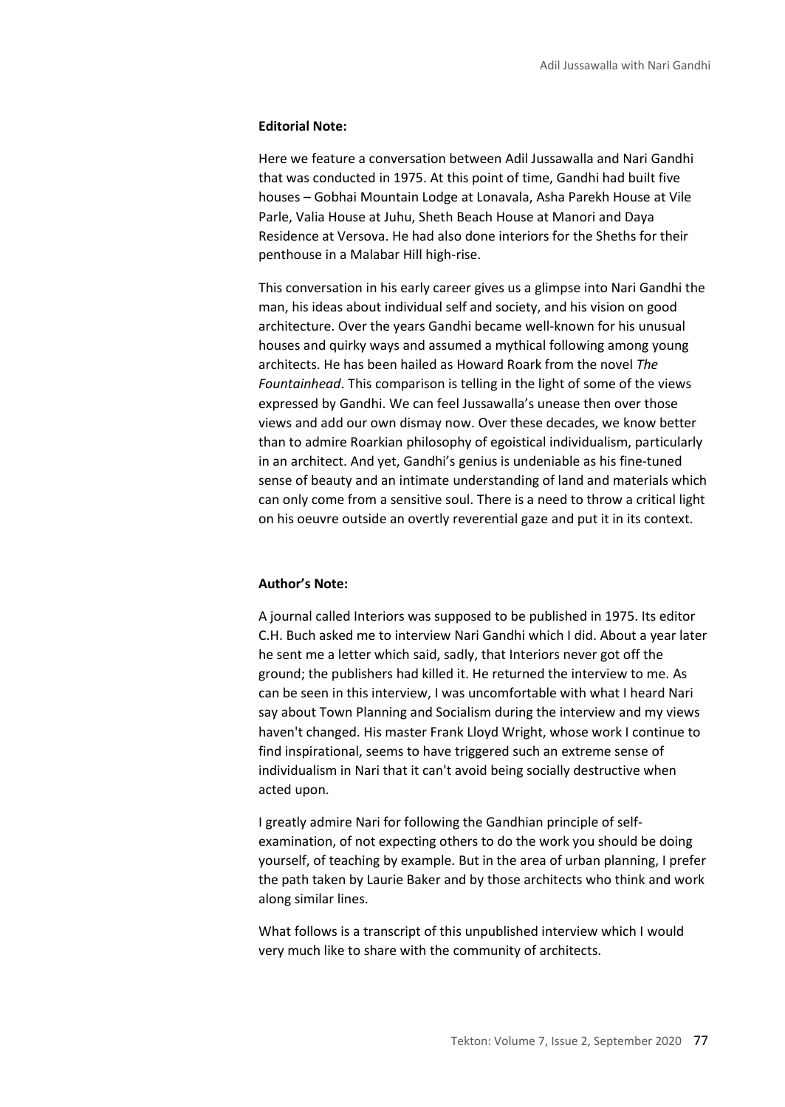### **Editorial Note:**

Here we feature a conversation between Adil Jussawalla and Nari Gandhi that was conducted in 1975. At this point of time, Gandhi had built five houses – Gobhai Mountain Lodge at Lonavala, Asha Parekh House at Vile Parle, Valia House at Juhu, Sheth Beach House at Manori and Daya Residence at Versova. He had also done interiors for the Sheths for their penthouse in a Malabar Hill high-rise.

This conversation in his early career gives us a glimpse into Nari Gandhi the man, his ideas about individual self and society, and his vision on good architecture. Over the years Gandhi became well-known for his unusual houses and quirky ways and assumed a mythical following among young architects. He has been hailed as Howard Roark from the novel *The Fountainhead*. This comparison is telling in the light of some of the views expressed by Gandhi. We can feel Jussawalla's unease then over those views and add our own dismay now. Over these decades, we know better than to admire Roarkian philosophy of egoistical individualism, particularly in an architect. And yet, Gandhi's genius is undeniable as his fine-tuned sense of beauty and an intimate understanding of land and materials which can only come from a sensitive soul. There is a need to throw a critical light on his oeuvre outside an overtly reverential gaze and put it in its context.

### **Author's Note:**

A journal called Interiors was supposed to be published in 1975. Its editor C.H. Buch asked me to interview Nari Gandhi which I did. About a year later he sent me a letter which said, sadly, that Interiors never got off the ground; the publishers had killed it. He returned the interview to me. As can be seen in this interview, I was uncomfortable with what I heard Nari say about Town Planning and Socialism during the interview and my views haven't changed. His master Frank Lloyd Wright, whose work I continue to find inspirational, seems to have triggered such an extreme sense of individualism in Nari that it can't avoid being socially destructive when acted upon.

I greatly admire Nari for following the Gandhian principle of selfexamination, of not expecting others to do the work you should be doing yourself, of teaching by example. But in the area of urban planning, I prefer the path taken by Laurie Baker and by those architects who think and work along similar lines.

What follows is a transcript of this unpublished interview which I would very much like to share with the community of architects.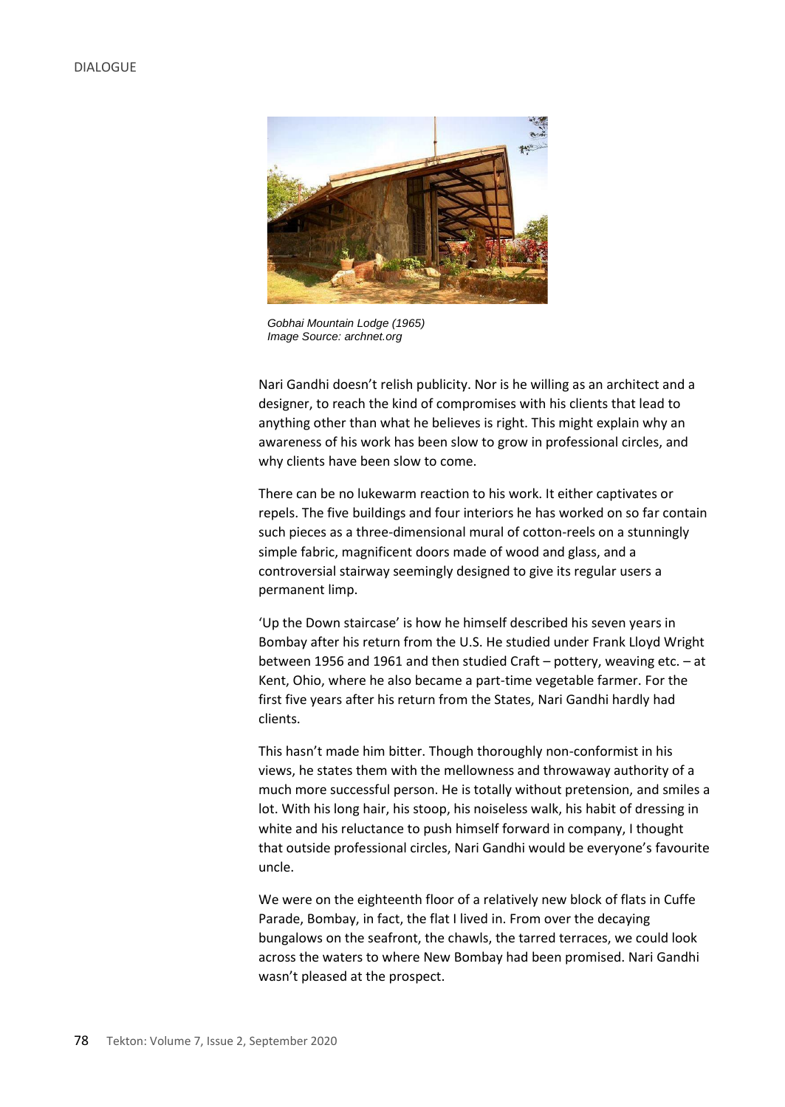

*Gobhai Mountain Lodge (1965) Image Source: archnet.org*

Nari Gandhi doesn't relish publicity. Nor is he willing as an architect and a designer, to reach the kind of compromises with his clients that lead to anything other than what he believes is right. This might explain why an awareness of his work has been slow to grow in professional circles, and why clients have been slow to come.

There can be no lukewarm reaction to his work. It either captivates or repels. The five buildings and four interiors he has worked on so far contain such pieces as a three-dimensional mural of cotton-reels on a stunningly simple fabric, magnificent doors made of wood and glass, and a controversial stairway seemingly designed to give its regular users a permanent limp.

'Up the Down staircase' is how he himself described his seven years in Bombay after his return from the U.S. He studied under Frank Lloyd Wright between 1956 and 1961 and then studied Craft – pottery, weaving etc. – at Kent, Ohio, where he also became a part-time vegetable farmer. For the first five years after his return from the States, Nari Gandhi hardly had clients.

This hasn't made him bitter. Though thoroughly non-conformist in his views, he states them with the mellowness and throwaway authority of a much more successful person. He is totally without pretension, and smiles a lot. With his long hair, his stoop, his noiseless walk, his habit of dressing in white and his reluctance to push himself forward in company, I thought that outside professional circles, Nari Gandhi would be everyone's favourite uncle.

We were on the eighteenth floor of a relatively new block of flats in Cuffe Parade, Bombay, in fact, the flat I lived in. From over the decaying bungalows on the seafront, the chawls, the tarred terraces, we could look across the waters to where New Bombay had been promised. Nari Gandhi wasn't pleased at the prospect.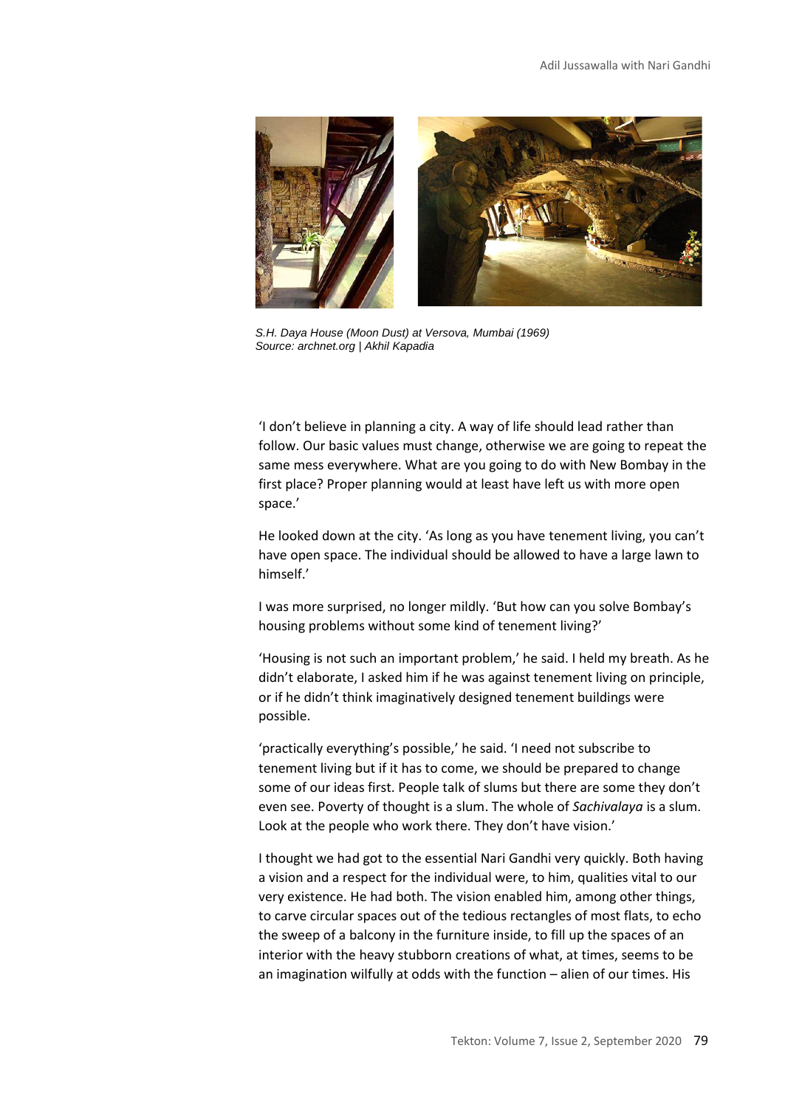

*S.H. Daya House (Moon Dust) at Versova, Mumbai (1969) Source: archnet.org | Akhil Kapadia*

'I don't believe in planning a city. A way of life should lead rather than follow. Our basic values must change, otherwise we are going to repeat the same mess everywhere. What are you going to do with New Bombay in the first place? Proper planning would at least have left us with more open space.'

He looked down at the city. 'As long as you have tenement living, you can't have open space. The individual should be allowed to have a large lawn to himself.'

I was more surprised, no longer mildly. 'But how can you solve Bombay's housing problems without some kind of tenement living?'

'Housing is not such an important problem,' he said. I held my breath. As he didn't elaborate, I asked him if he was against tenement living on principle, or if he didn't think imaginatively designed tenement buildings were possible.

'practically everything's possible,' he said. 'I need not subscribe to tenement living but if it has to come, we should be prepared to change some of our ideas first. People talk of slums but there are some they don't even see. Poverty of thought is a slum. The whole of *Sachivalaya* is a slum. Look at the people who work there. They don't have vision.'

I thought we had got to the essential Nari Gandhi very quickly. Both having a vision and a respect for the individual were, to him, qualities vital to our very existence. He had both. The vision enabled him, among other things, to carve circular spaces out of the tedious rectangles of most flats, to echo the sweep of a balcony in the furniture inside, to fill up the spaces of an interior with the heavy stubborn creations of what, at times, seems to be an imagination wilfully at odds with the function – alien of our times. His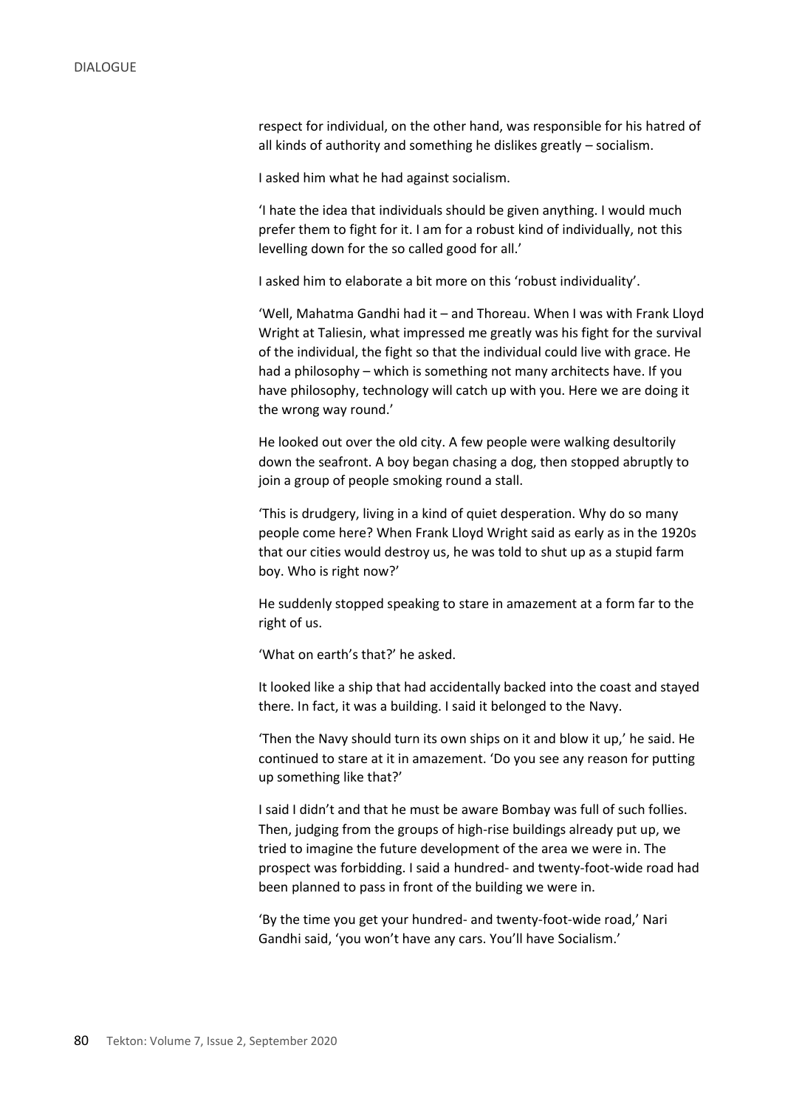respect for individual, on the other hand, was responsible for his hatred of all kinds of authority and something he dislikes greatly – socialism.

I asked him what he had against socialism.

'I hate the idea that individuals should be given anything. I would much prefer them to fight for it. I am for a robust kind of individually, not this levelling down for the so called good for all.'

I asked him to elaborate a bit more on this 'robust individuality'.

'Well, Mahatma Gandhi had it – and Thoreau. When I was with Frank Lloyd Wright at Taliesin, what impressed me greatly was his fight for the survival of the individual, the fight so that the individual could live with grace. He had a philosophy – which is something not many architects have. If you have philosophy, technology will catch up with you. Here we are doing it the wrong way round.'

He looked out over the old city. A few people were walking desultorily down the seafront. A boy began chasing a dog, then stopped abruptly to join a group of people smoking round a stall.

'This is drudgery, living in a kind of quiet desperation. Why do so many people come here? When Frank Lloyd Wright said as early as in the 1920s that our cities would destroy us, he was told to shut up as a stupid farm boy. Who is right now?'

He suddenly stopped speaking to stare in amazement at a form far to the right of us.

'What on earth's that?' he asked.

It looked like a ship that had accidentally backed into the coast and stayed there. In fact, it was a building. I said it belonged to the Navy.

'Then the Navy should turn its own ships on it and blow it up,' he said. He continued to stare at it in amazement. 'Do you see any reason for putting up something like that?'

I said I didn't and that he must be aware Bombay was full of such follies. Then, judging from the groups of high-rise buildings already put up, we tried to imagine the future development of the area we were in. The prospect was forbidding. I said a hundred- and twenty-foot-wide road had been planned to pass in front of the building we were in.

'By the time you get your hundred- and twenty-foot-wide road,' Nari Gandhi said, 'you won't have any cars. You'll have Socialism.'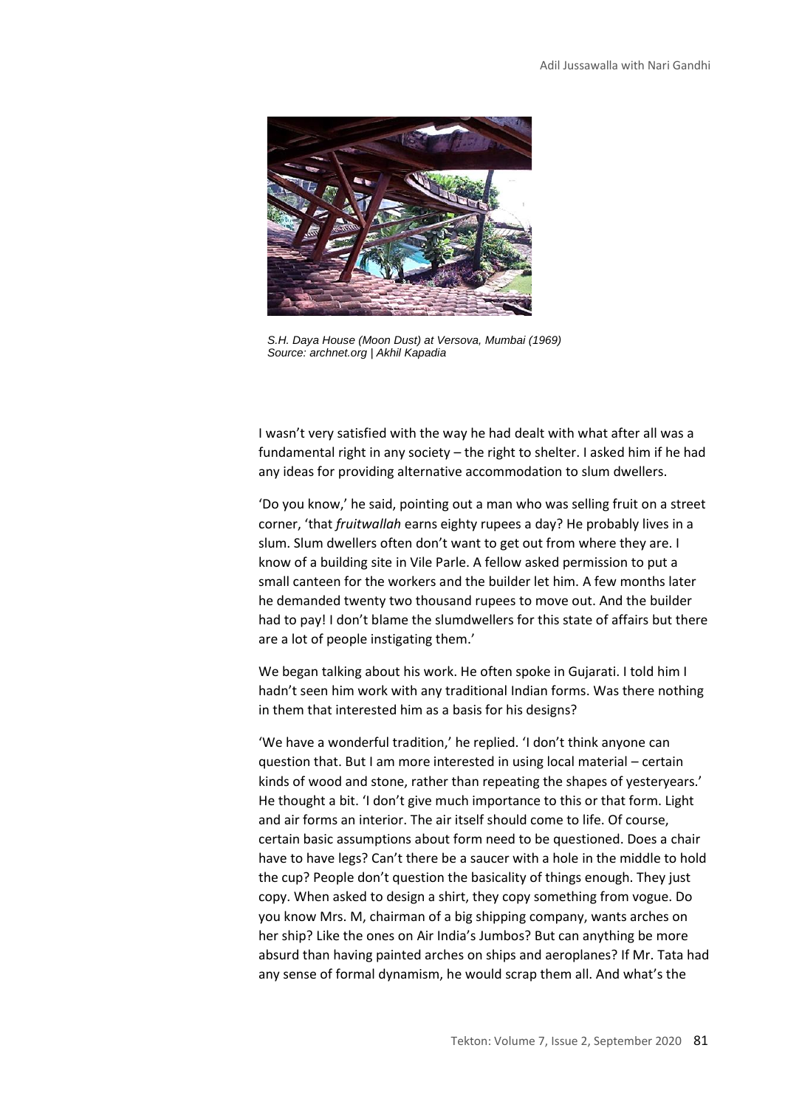

*S.H. Daya House (Moon Dust) at Versova, Mumbai (1969) Source: archnet.org | Akhil Kapadia*

I wasn't very satisfied with the way he had dealt with what after all was a fundamental right in any society – the right to shelter. I asked him if he had any ideas for providing alternative accommodation to slum dwellers.

'Do you know,' he said, pointing out a man who was selling fruit on a street corner, 'that *fruitwallah* earns eighty rupees a day? He probably lives in a slum. Slum dwellers often don't want to get out from where they are. I know of a building site in Vile Parle. A fellow asked permission to put a small canteen for the workers and the builder let him. A few months later he demanded twenty two thousand rupees to move out. And the builder had to pay! I don't blame the slumdwellers for this state of affairs but there are a lot of people instigating them.'

We began talking about his work. He often spoke in Gujarati. I told him I hadn't seen him work with any traditional Indian forms. Was there nothing in them that interested him as a basis for his designs?

'We have a wonderful tradition,' he replied. 'I don't think anyone can question that. But I am more interested in using local material – certain kinds of wood and stone, rather than repeating the shapes of yesteryears.' He thought a bit. 'I don't give much importance to this or that form. Light and air forms an interior. The air itself should come to life. Of course, certain basic assumptions about form need to be questioned. Does a chair have to have legs? Can't there be a saucer with a hole in the middle to hold the cup? People don't question the basicality of things enough. They just copy. When asked to design a shirt, they copy something from vogue. Do you know Mrs. M, chairman of a big shipping company, wants arches on her ship? Like the ones on Air India's Jumbos? But can anything be more absurd than having painted arches on ships and aeroplanes? If Mr. Tata had any sense of formal dynamism, he would scrap them all. And what's the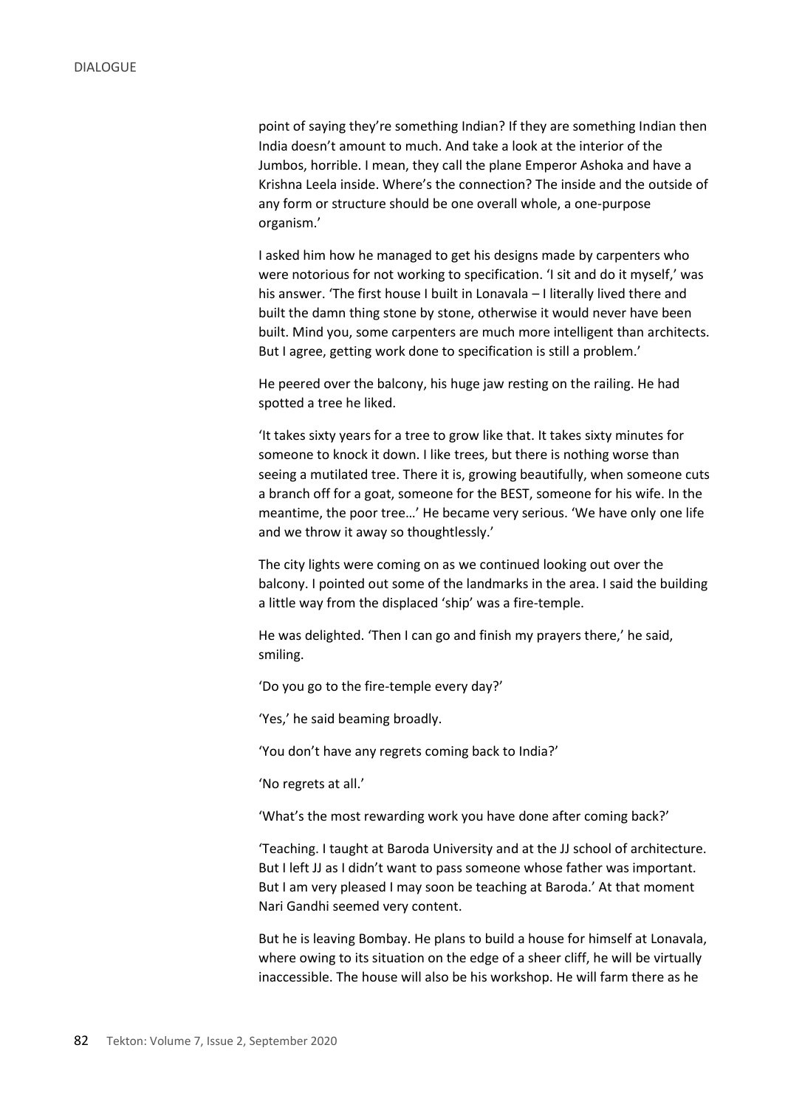point of saying they're something Indian? If they are something Indian then India doesn't amount to much. And take a look at the interior of the Jumbos, horrible. I mean, they call the plane Emperor Ashoka and have a Krishna Leela inside. Where's the connection? The inside and the outside of any form or structure should be one overall whole, a one-purpose organism.'

I asked him how he managed to get his designs made by carpenters who were notorious for not working to specification. 'I sit and do it myself,' was his answer. 'The first house I built in Lonavala – I literally lived there and built the damn thing stone by stone, otherwise it would never have been built. Mind you, some carpenters are much more intelligent than architects. But I agree, getting work done to specification is still a problem.'

He peered over the balcony, his huge jaw resting on the railing. He had spotted a tree he liked.

'It takes sixty years for a tree to grow like that. It takes sixty minutes for someone to knock it down. I like trees, but there is nothing worse than seeing a mutilated tree. There it is, growing beautifully, when someone cuts a branch off for a goat, someone for the BEST, someone for his wife. In the meantime, the poor tree…' He became very serious. 'We have only one life and we throw it away so thoughtlessly.'

The city lights were coming on as we continued looking out over the balcony. I pointed out some of the landmarks in the area. I said the building a little way from the displaced 'ship' was a fire-temple.

He was delighted. 'Then I can go and finish my prayers there,' he said, smiling.

'Do you go to the fire-temple every day?'

'Yes,' he said beaming broadly.

'You don't have any regrets coming back to India?'

'No regrets at all.'

'What's the most rewarding work you have done after coming back?'

'Teaching. I taught at Baroda University and at the JJ school of architecture. But I left JJ as I didn't want to pass someone whose father was important. But I am very pleased I may soon be teaching at Baroda.' At that moment Nari Gandhi seemed very content.

But he is leaving Bombay. He plans to build a house for himself at Lonavala, where owing to its situation on the edge of a sheer cliff, he will be virtually inaccessible. The house will also be his workshop. He will farm there as he